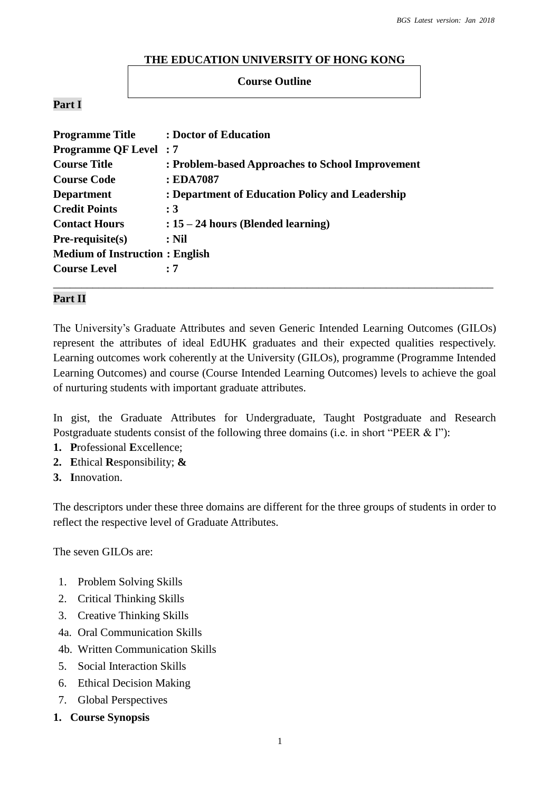#### **THE EDUCATION UNIVERSITY OF HONG KONG**

#### **Course Outline**

### **Part I**

| <b>Programme Title</b>                | : Doctor of Education                            |
|---------------------------------------|--------------------------------------------------|
| <b>Programme QF Level: 7</b>          |                                                  |
| <b>Course Title</b>                   | : Problem-based Approaches to School Improvement |
| <b>Course Code</b>                    | : EDA7087                                        |
| <b>Department</b>                     | : Department of Education Policy and Leadership  |
| <b>Credit Points</b>                  | :3                                               |
| <b>Contact Hours</b>                  | $: 15 - 24$ hours (Blended learning)             |
| $Pre-requisite(s)$                    | $:$ Nil                                          |
| <b>Medium of Instruction: English</b> |                                                  |
| <b>Course Level</b>                   | : 7                                              |
|                                       |                                                  |

### **Part II**

The University's Graduate Attributes and seven Generic Intended Learning Outcomes (GILOs) represent the attributes of ideal EdUHK graduates and their expected qualities respectively. Learning outcomes work coherently at the University (GILOs), programme (Programme Intended Learning Outcomes) and course (Course Intended Learning Outcomes) levels to achieve the goal of nurturing students with important graduate attributes.

In gist, the Graduate Attributes for Undergraduate, Taught Postgraduate and Research Postgraduate students consist of the following three domains (i.e. in short "PEER & I"):

- **1. P**rofessional **E**xcellence;
- **2. E**thical **R**esponsibility; **&**
- **3. I**nnovation.

The descriptors under these three domains are different for the three groups of students in order to reflect the respective level of Graduate Attributes.

The seven GILOs are:

- 1. Problem Solving Skills
- 2. Critical Thinking Skills
- 3. Creative Thinking Skills
- 4a. Oral Communication Skills
- 4b. Written Communication Skills
- 5. Social Interaction Skills
- 6. Ethical Decision Making
- 7. Global Perspectives
- **1. Course Synopsis**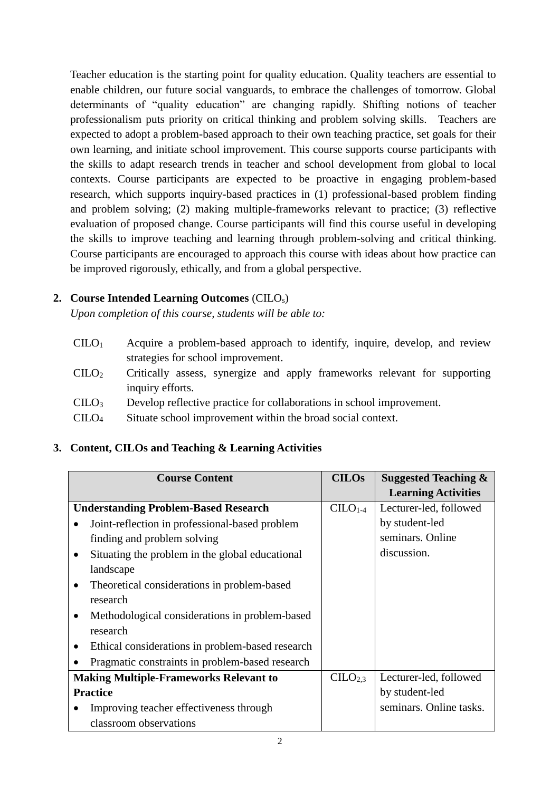Teacher education is the starting point for quality education. Quality teachers are essential to enable children, our future social vanguards, to embrace the challenges of tomorrow. Global determinants of "quality education" are changing rapidly. Shifting notions of teacher professionalism puts priority on critical thinking and problem solving skills. Teachers are expected to adopt a problem-based approach to their own teaching practice, set goals for their own learning, and initiate school improvement. This course supports course participants with the skills to adapt research trends in teacher and school development from global to local contexts. Course participants are expected to be proactive in engaging problem-based research, which supports inquiry-based practices in (1) professional-based problem finding and problem solving; (2) making multiple-frameworks relevant to practice; (3) reflective evaluation of proposed change. Course participants will find this course useful in developing the skills to improve teaching and learning through problem-solving and critical thinking. Course participants are encouraged to approach this course with ideas about how practice can be improved rigorously, ethically, and from a global perspective.

## **2. Course Intended Learning Outcomes** (CILOs)

*Upon completion of this course, students will be able to:*

- CILO<sup>1</sup> Acquire a problem-based approach to identify, inquire, develop, and review strategies for school improvement.
- CILO<sup>2</sup> Critically assess, synergize and apply frameworks relevant for supporting inquiry efforts.
- CILO<sup>3</sup> Develop reflective practice for collaborations in school improvement.
- CILO<sup>4</sup> Situate school improvement within the broad social context.

# **3. Content, CILOs and Teaching & Learning Activities**

| <b>Course Content</b>                                       |                                                 | <b>CILOs</b>        | <b>Suggested Teaching &amp;</b> |
|-------------------------------------------------------------|-------------------------------------------------|---------------------|---------------------------------|
|                                                             |                                                 |                     | <b>Learning Activities</b>      |
| <b>Understanding Problem-Based Research</b>                 |                                                 | $C1-4$              | Lecturer-led, followed          |
| Joint-reflection in professional-based problem              |                                                 |                     | by student-led                  |
| finding and problem solving                                 |                                                 |                     | seminars. Online                |
| Situating the problem in the global educational             |                                                 |                     | discussion.                     |
|                                                             | landscape                                       |                     |                                 |
| Theoretical considerations in problem-based<br>$\bullet$    |                                                 |                     |                                 |
| research                                                    |                                                 |                     |                                 |
| Methodological considerations in problem-based<br>$\bullet$ |                                                 |                     |                                 |
| research                                                    |                                                 |                     |                                 |
| Ethical considerations in problem-based research            |                                                 |                     |                                 |
|                                                             | Pragmatic constraints in problem-based research |                     |                                 |
| <b>Making Multiple-Frameworks Relevant to</b>               |                                                 | CILO <sub>2.3</sub> | Lecturer-led, followed          |
| <b>Practice</b>                                             |                                                 |                     | by student-led                  |
| Improving teacher effectiveness through                     |                                                 |                     | seminars. Online tasks.         |
|                                                             | classroom observations                          |                     |                                 |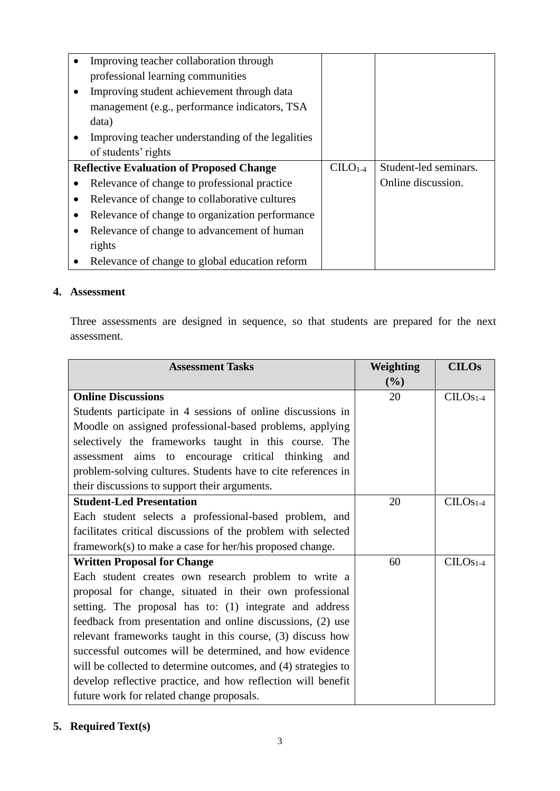| Improving teacher collaboration through           |                                                 |        |                       |
|---------------------------------------------------|-------------------------------------------------|--------|-----------------------|
| professional learning communities                 |                                                 |        |                       |
| Improving student achievement through data        |                                                 |        |                       |
| management (e.g., performance indicators, TSA     |                                                 |        |                       |
| data)                                             |                                                 |        |                       |
| Improving teacher understanding of the legalities |                                                 |        |                       |
| of students' rights                               |                                                 |        |                       |
|                                                   | <b>Reflective Evaluation of Proposed Change</b> |        |                       |
|                                                   |                                                 | $C1-4$ | Student-led seminars. |
|                                                   | Relevance of change to professional practice    |        | Online discussion.    |
|                                                   | Relevance of change to collaborative cultures   |        |                       |
|                                                   | Relevance of change to organization performance |        |                       |
|                                                   | Relevance of change to advancement of human     |        |                       |
| rights                                            |                                                 |        |                       |

### **4. Assessment**

Three assessments are designed in sequence, so that students are prepared for the next assessment.

| <b>Assessment Tasks</b>                                        | Weighting | <b>CILOs</b> |
|----------------------------------------------------------------|-----------|--------------|
|                                                                | (%)       |              |
| <b>Online Discussions</b>                                      | 20        | $CILOS1-4$   |
| Students participate in 4 sessions of online discussions in    |           |              |
| Moodle on assigned professional-based problems, applying       |           |              |
| selectively the frameworks taught in this course. The          |           |              |
| assessment aims to encourage critical thinking<br>and          |           |              |
| problem-solving cultures. Students have to cite references in  |           |              |
| their discussions to support their arguments.                  |           |              |
| <b>Student-Led Presentation</b>                                | 20        | $CILOS1-4$   |
| Each student selects a professional-based problem, and         |           |              |
| facilitates critical discussions of the problem with selected  |           |              |
| framework(s) to make a case for her/his proposed change.       |           |              |
| <b>Written Proposal for Change</b>                             | 60        | $CILOS1-4$   |
| Each student creates own research problem to write a           |           |              |
| proposal for change, situated in their own professional        |           |              |
| setting. The proposal has to: (1) integrate and address        |           |              |
| feedback from presentation and online discussions, (2) use     |           |              |
| relevant frameworks taught in this course, (3) discuss how     |           |              |
| successful outcomes will be determined, and how evidence       |           |              |
| will be collected to determine outcomes, and (4) strategies to |           |              |
| develop reflective practice, and how reflection will benefit   |           |              |
| future work for related change proposals.                      |           |              |

# **5. Required Text(s)**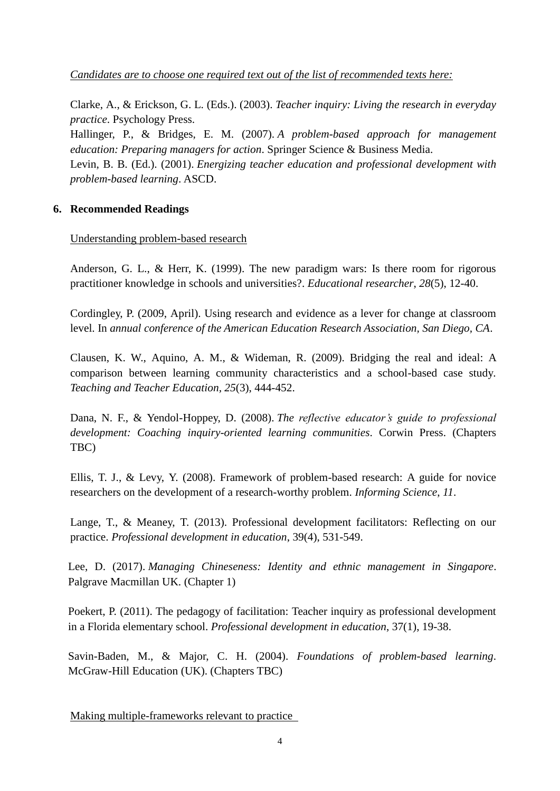*Candidates are to choose one required text out of the list of recommended texts here:*

Clarke, A., & Erickson, G. L. (Eds.). (2003). *Teacher inquiry: Living the research in everyday practice*. Psychology Press.

Hallinger, P., & Bridges, E. M. (2007). *A problem-based approach for management education: Preparing managers for action*. Springer Science & Business Media. Levin, B. B. (Ed.). (2001). *Energizing teacher education and professional development with problem-based learning*. ASCD.

### **6. Recommended Readings**

### Understanding problem-based research

Anderson, G. L., & Herr, K. (1999). The new paradigm wars: Is there room for rigorous practitioner knowledge in schools and universities?. *Educational researcher*, *28*(5), 12-40.

Cordingley, P. (2009, April). Using research and evidence as a lever for change at classroom level. In *annual conference of the American Education Research Association, San Diego, CA*.

Clausen, K. W., Aquino, A. M., & Wideman, R. (2009). Bridging the real and ideal: A comparison between learning community characteristics and a school-based case study*. Teaching and Teacher Education, 25*(3), 444-452.

Dana, N. F., & Yendol-Hoppey, D. (2008). *The reflective educator's guide to professional development: Coaching inquiry-oriented learning communities*. Corwin Press. (Chapters TBC)

Ellis, T. J., & Levy, Y. (2008). Framework of problem-based research: A guide for novice researchers on the development of a research-worthy problem. *Informing Science*, *11*.

Lange, T., & Meaney, T. (2013). Professional development facilitators: Reflecting on our practice. *Professional development in education*, 39(4), 531-549.

Lee, D. (2017). *Managing Chineseness: Identity and ethnic management in Singapore*. Palgrave Macmillan UK. (Chapter 1)

Poekert, P. (2011). The pedagogy of facilitation: Teacher inquiry as professional development in a Florida elementary school. *Professional development in education*, 37(1), 19-38.

Savin-Baden, M., & Major, C. H. (2004). *Foundations of problem-based learning*. McGraw-Hill Education (UK). (Chapters TBC)

Making multiple-frameworks relevant to practice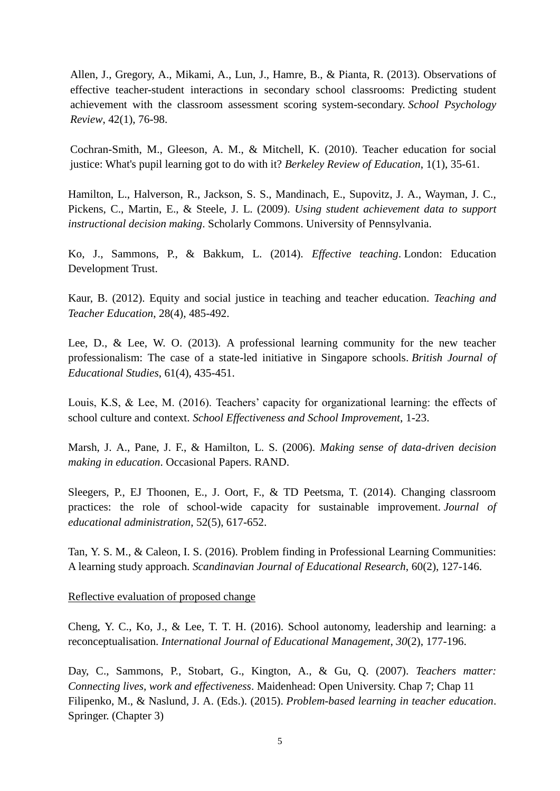Allen, J., Gregory, A., Mikami, A., Lun, J., Hamre, B., & Pianta, R. (2013). Observations of effective teacher-student interactions in secondary school classrooms: Predicting student achievement with the classroom assessment scoring system-secondary. *School Psychology Review*, 42(1), 76-98.

Cochran-Smith, M., Gleeson, A. M., & Mitchell, K. (2010). Teacher education for social justice: What's pupil learning got to do with it? *Berkeley Review of Education*, 1(1), 35-61.

Hamilton, L., Halverson, R., Jackson, S. S., Mandinach, E., Supovitz, J. A., Wayman, J. C., Pickens, C., Martin, E., & Steele, J. L. (2009). *Using student achievement data to support instructional decision making*. Scholarly Commons. University of Pennsylvania.

Ko, J., Sammons, P., & Bakkum, L. (2014). *Effective teaching*. London: Education Development Trust.

Kaur, B. (2012). Equity and social justice in teaching and teacher education. *Teaching and Teacher Education*, 28(4), 485-492.

Lee, D., & Lee, W. O. (2013). A professional learning community for the new teacher professionalism: The case of a state-led initiative in Singapore schools. *British Journal of Educational Studies*, 61(4), 435-451.

Louis, K.S, & Lee, M. (2016). Teachers' capacity for organizational learning: the effects of school culture and context. *School Effectiveness and School Improvement*, 1-23.

Marsh, J. A., Pane, J. F., & Hamilton, L. S. (2006). *Making sense of data-driven decision making in education*. Occasional Papers. RAND.

Sleegers, P., EJ Thoonen, E., J. Oort, F., & TD Peetsma, T. (2014). Changing classroom practices: the role of school-wide capacity for sustainable improvement. *Journal of educational administration*, 52(5), 617-652.

Tan, Y. S. M., & Caleon, I. S. (2016). Problem finding in Professional Learning Communities: A learning study approach. *Scandinavian Journal of Educational Research*, 60(2), 127-146.

Reflective evaluation of proposed change

Cheng, Y. C., Ko, J., & Lee, T. T. H. (2016). School autonomy, leadership and learning: a reconceptualisation. *International Journal of Educational Management*, *30*(2), 177-196.

Day, C., Sammons, P., Stobart, G., Kington, A., & Gu, Q. (2007). *Teachers matter: Connecting lives, work and effectiveness*. Maidenhead: Open University. Chap 7; Chap 11 Filipenko, M., & Naslund, J. A. (Eds.). (2015). *Problem-based learning in teacher education*. Springer. (Chapter 3)